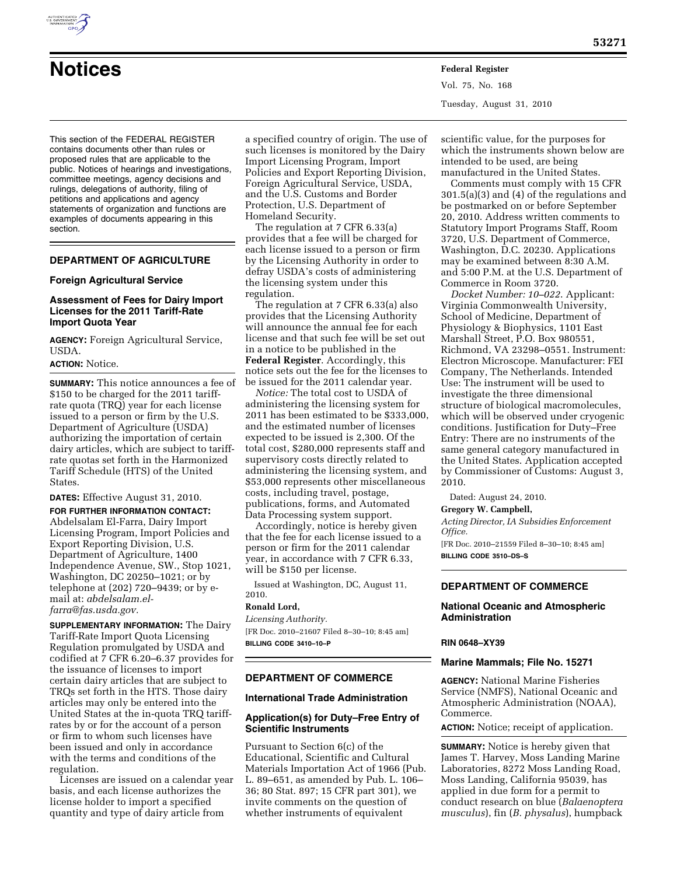

# **Notices Federal Register**

Vol. 75, No. 168 Tuesday, August 31, 2010

This section of the FEDERAL REGISTER contains documents other than rules or proposed rules that are applicable to the public. Notices of hearings and investigations, committee meetings, agency decisions and rulings, delegations of authority, filing of petitions and applications and agency statements of organization and functions are examples of documents appearing in this section.

## **DEPARTMENT OF AGRICULTURE**

#### **Foreign Agricultural Service**

#### **Assessment of Fees for Dairy Import Licenses for the 2011 Tariff-Rate Import Quota Year**

**AGENCY:** Foreign Agricultural Service, USDA.

## **ACTION:** Notice.

**SUMMARY:** This notice announces a fee of \$150 to be charged for the 2011 tariffrate quota (TRQ) year for each license issued to a person or firm by the U.S. Department of Agriculture (USDA) authorizing the importation of certain dairy articles, which are subject to tariffrate quotas set forth in the Harmonized Tariff Schedule (HTS) of the United States.

## **DATES:** Effective August 31, 2010.

**FOR FURTHER INFORMATION CONTACT:**  Abdelsalam El-Farra, Dairy Import Licensing Program, Import Policies and Export Reporting Division, U.S. Department of Agriculture, 1400 Independence Avenue, SW., Stop 1021, Washington, DC 20250–1021; or by telephone at (202) 720–9439; or by email at: *[abdelsalam.el](mailto:abdelsalam.el-farra@fas.usda.gov)[farra@fas.usda.gov.](mailto:abdelsalam.el-farra@fas.usda.gov)* 

**SUPPLEMENTARY INFORMATION:** The Dairy Tariff-Rate Import Quota Licensing Regulation promulgated by USDA and codified at 7 CFR 6.20–6.37 provides for the issuance of licenses to import certain dairy articles that are subject to TRQs set forth in the HTS. Those dairy articles may only be entered into the United States at the in-quota TRQ tariffrates by or for the account of a person or firm to whom such licenses have been issued and only in accordance with the terms and conditions of the regulation.

Licenses are issued on a calendar year basis, and each license authorizes the license holder to import a specified quantity and type of dairy article from

a specified country of origin. The use of such licenses is monitored by the Dairy Import Licensing Program, Import Policies and Export Reporting Division, Foreign Agricultural Service, USDA, and the U.S. Customs and Border Protection, U.S. Department of Homeland Security.

The regulation at 7 CFR 6.33(a) provides that a fee will be charged for each license issued to a person or firm by the Licensing Authority in order to defray USDA's costs of administering the licensing system under this regulation.

The regulation at 7 CFR 6.33(a) also provides that the Licensing Authority will announce the annual fee for each license and that such fee will be set out in a notice to be published in the **Federal Register**. Accordingly, this notice sets out the fee for the licenses to be issued for the 2011 calendar year.

*Notice:* The total cost to USDA of administering the licensing system for 2011 has been estimated to be \$333,000, and the estimated number of licenses expected to be issued is 2,300. Of the total cost, \$280,000 represents staff and supervisory costs directly related to administering the licensing system, and \$53,000 represents other miscellaneous costs, including travel, postage, publications, forms, and Automated Data Processing system support.

Accordingly, notice is hereby given that the fee for each license issued to a person or firm for the 2011 calendar year, in accordance with 7 CFR 6.33, will be \$150 per license.

Issued at Washington, DC, August 11, 2010.

## **Ronald Lord,**

*Licensing Authority.*  [FR Doc. 2010–21607 Filed 8–30–10; 8:45 am] **BILLING CODE 3410–10–P** 

#### **DEPARTMENT OF COMMERCE**

#### **International Trade Administration**

## **Application(s) for Duty–Free Entry of Scientific Instruments**

Pursuant to Section 6(c) of the Educational, Scientific and Cultural Materials Importation Act of 1966 (Pub. L. 89–651, as amended by Pub. L. 106– 36; 80 Stat. 897; 15 CFR part 301), we invite comments on the question of whether instruments of equivalent

scientific value, for the purposes for which the instruments shown below are intended to be used, are being manufactured in the United States.

Comments must comply with 15 CFR 301.5(a)(3) and (4) of the regulations and be postmarked on or before September 20, 2010. Address written comments to Statutory Import Programs Staff, Room 3720, U.S. Department of Commerce, Washington, D.C. 20230. Applications may be examined between 8:30 A.M. and 5:00 P.M. at the U.S. Department of Commerce in Room 3720.

*Docket Number: 10–022*. Applicant: Virginia Commonwealth University, School of Medicine, Department of Physiology & Biophysics, 1101 East Marshall Street, P.O. Box 980551, Richmond, VA 23298–0551. Instrument: Electron Microscope. Manufacturer: FEI Company, The Netherlands. Intended Use: The instrument will be used to investigate the three dimensional structure of biological macromolecules, which will be observed under cryogenic conditions. Justification for Duty–Free Entry: There are no instruments of the same general category manufactured in the United States. Application accepted by Commissioner of Customs: August 3, 2010.

Dated: August 24, 2010.

#### **Gregory W. Campbell,**

*Acting Director, IA Subsidies Enforcement Office.* 

[FR Doc. 2010–21559 Filed 8–30–10; 8:45 am] **BILLING CODE 3510–DS–S** 

## **DEPARTMENT OF COMMERCE**

#### **National Oceanic and Atmospheric Administration**

#### **RIN 0648–XY39**

## **Marine Mammals; File No. 15271**

**AGENCY:** National Marine Fisheries Service (NMFS), National Oceanic and Atmospheric Administration (NOAA), Commerce.

**ACTION:** Notice; receipt of application.

**SUMMARY:** Notice is hereby given that James T. Harvey, Moss Landing Marine Laboratories, 8272 Moss Landing Road, Moss Landing, California 95039, has applied in due form for a permit to conduct research on blue (*Balaenoptera musculus*), fin (*B. physalus*), humpback